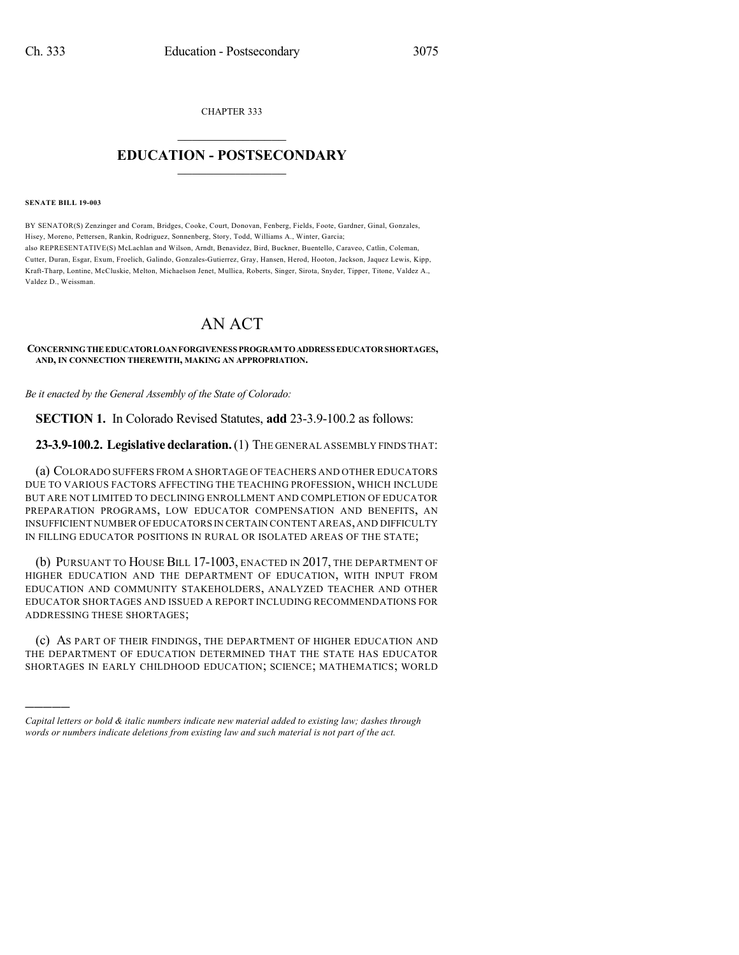CHAPTER 333

## $\mathcal{L}_\text{max}$  . The set of the set of the set of the set of the set of the set of the set of the set of the set of the set of the set of the set of the set of the set of the set of the set of the set of the set of the set **EDUCATION - POSTSECONDARY**  $\_$   $\_$   $\_$   $\_$   $\_$   $\_$   $\_$   $\_$   $\_$

**SENATE BILL 19-003**

)))))

BY SENATOR(S) Zenzinger and Coram, Bridges, Cooke, Court, Donovan, Fenberg, Fields, Foote, Gardner, Ginal, Gonzales, Hisey, Moreno, Pettersen, Rankin, Rodriguez, Sonnenberg, Story, Todd, Williams A., Winter, Garcia; also REPRESENTATIVE(S) McLachlan and Wilson, Arndt, Benavidez, Bird, Buckner, Buentello, Caraveo, Catlin, Coleman, Cutter, Duran, Esgar, Exum, Froelich, Galindo, Gonzales-Gutierrez, Gray, Hansen, Herod, Hooton, Jackson, Jaquez Lewis, Kipp, Kraft-Tharp, Lontine, McCluskie, Melton, Michaelson Jenet, Mullica, Roberts, Singer, Sirota, Snyder, Tipper, Titone, Valdez A., Valdez D., Weissman.

## AN ACT

## **CONCERNINGTHEEDUCATORLOANFORGIVENESS PROGRAM TOADDRESS EDUCATORSHORTAGES, AND, IN CONNECTION THEREWITH, MAKING AN APPROPRIATION.**

*Be it enacted by the General Assembly of the State of Colorado:*

**SECTION 1.** In Colorado Revised Statutes, **add** 23-3.9-100.2 as follows:

**23-3.9-100.2. Legislativedeclaration.**(1) THE GENERAL ASSEMBLY FINDS THAT:

(a) COLORADO SUFFERS FROM A SHORTAGE OF TEACHERS AND OTHER EDUCATORS DUE TO VARIOUS FACTORS AFFECTING THE TEACHING PROFESSION, WHICH INCLUDE BUT ARE NOT LIMITED TO DECLINING ENROLLMENT AND COMPLETION OF EDUCATOR PREPARATION PROGRAMS, LOW EDUCATOR COMPENSATION AND BENEFITS, AN INSUFFICIENT NUMBER OFEDUCATORS IN CERTAIN CONTENT AREAS,AND DIFFICULTY IN FILLING EDUCATOR POSITIONS IN RURAL OR ISOLATED AREAS OF THE STATE;

(b) PURSUANT TO HOUSE BILL 17-1003, ENACTED IN 2017, THE DEPARTMENT OF HIGHER EDUCATION AND THE DEPARTMENT OF EDUCATION, WITH INPUT FROM EDUCATION AND COMMUNITY STAKEHOLDERS, ANALYZED TEACHER AND OTHER EDUCATOR SHORTAGES AND ISSUED A REPORT INCLUDING RECOMMENDATIONS FOR ADDRESSING THESE SHORTAGES;

(c) AS PART OF THEIR FINDINGS, THE DEPARTMENT OF HIGHER EDUCATION AND THE DEPARTMENT OF EDUCATION DETERMINED THAT THE STATE HAS EDUCATOR SHORTAGES IN EARLY CHILDHOOD EDUCATION; SCIENCE; MATHEMATICS; WORLD

*Capital letters or bold & italic numbers indicate new material added to existing law; dashes through words or numbers indicate deletions from existing law and such material is not part of the act.*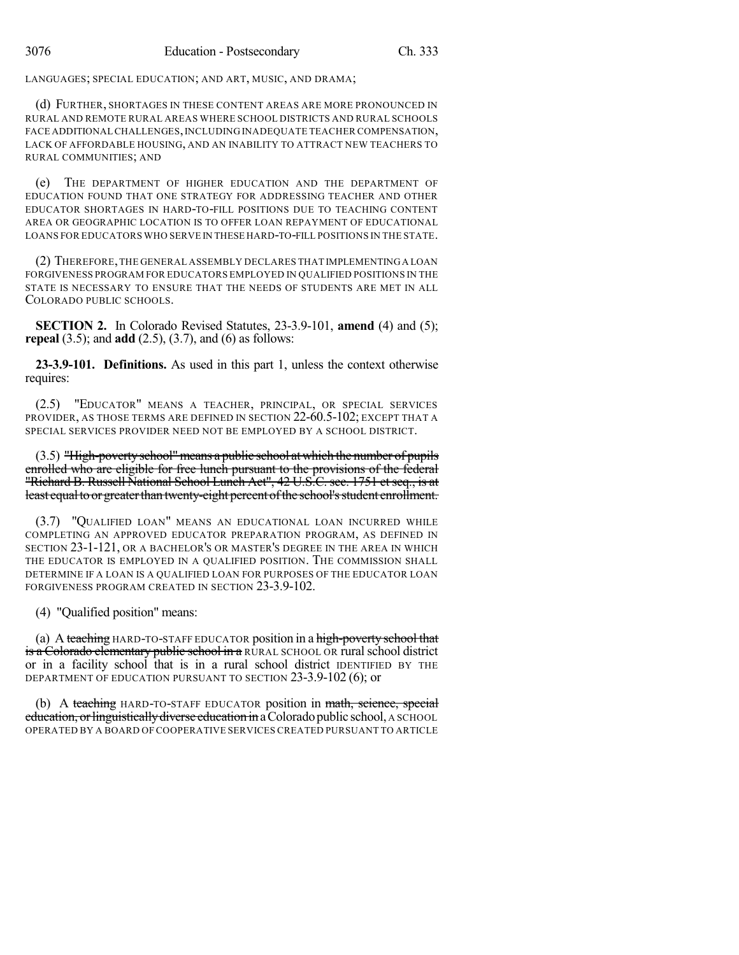LANGUAGES; SPECIAL EDUCATION; AND ART, MUSIC, AND DRAMA;

(d) FURTHER, SHORTAGES IN THESE CONTENT AREAS ARE MORE PRONOUNCED IN RURAL AND REMOTE RURAL AREAS WHERE SCHOOL DISTRICTS AND RURAL SCHOOLS FACE ADDITIONAL CHALLENGES, INCLUDING INADEQUATE TEACHER COMPENSATION, LACK OF AFFORDABLE HOUSING, AND AN INABILITY TO ATTRACT NEW TEACHERS TO RURAL COMMUNITIES; AND

(e) THE DEPARTMENT OF HIGHER EDUCATION AND THE DEPARTMENT OF EDUCATION FOUND THAT ONE STRATEGY FOR ADDRESSING TEACHER AND OTHER EDUCATOR SHORTAGES IN HARD-TO-FILL POSITIONS DUE TO TEACHING CONTENT AREA OR GEOGRAPHIC LOCATION IS TO OFFER LOAN REPAYMENT OF EDUCATIONAL LOANS FOR EDUCATORS WHO SERVE IN THESE HARD-TO-FILL POSITIONS IN THE STATE.

(2) THEREFORE,THE GENERAL ASSEMBLY DECLARES THAT IMPLEMENTINGA LOAN FORGIVENESS PROGRAM FOR EDUCATORS EMPLOYED IN QUALIFIED POSITIONS IN THE STATE IS NECESSARY TO ENSURE THAT THE NEEDS OF STUDENTS ARE MET IN ALL COLORADO PUBLIC SCHOOLS.

**SECTION 2.** In Colorado Revised Statutes, 23-3.9-101, **amend** (4) and (5); **repeal** (3.5); and **add** (2.5), (3.7), and (6) as follows:

**23-3.9-101. Definitions.** As used in this part 1, unless the context otherwise requires:

(2.5) "EDUCATOR" MEANS A TEACHER, PRINCIPAL, OR SPECIAL SERVICES PROVIDER, AS THOSE TERMS ARE DEFINED IN SECTION 22-60.5-102; EXCEPT THAT A SPECIAL SERVICES PROVIDER NEED NOT BE EMPLOYED BY A SCHOOL DISTRICT.

(3.5) "High-povertyschool"means a public school at which the number of pupils enrolled who are eligible for free lunch pursuant to the provisions of the federal "Richard B. Russell National School Lunch Act", 42 U.S.C. sec. 1751 et seq., is at least equal to or greater than twenty-eight percent of the school's student enrollment.

(3.7) "QUALIFIED LOAN" MEANS AN EDUCATIONAL LOAN INCURRED WHILE COMPLETING AN APPROVED EDUCATOR PREPARATION PROGRAM, AS DEFINED IN SECTION 23-1-121, OR A BACHELOR'S OR MASTER'S DEGREE IN THE AREA IN WHICH THE EDUCATOR IS EMPLOYED IN A QUALIFIED POSITION. THE COMMISSION SHALL DETERMINE IF A LOAN IS A QUALIFIED LOAN FOR PURPOSES OF THE EDUCATOR LOAN FORGIVENESS PROGRAM CREATED IN SECTION 23-3.9-102.

(4) "Qualified position" means:

(a) A teaching HARD-TO-STAFF EDUCATOR position in a high-poverty school that is a Colorado elementary public school in a RURAL SCHOOL OR rural school district or in a facility school that is in a rural school district IDENTIFIED BY THE DEPARTMENT OF EDUCATION PURSUANT TO SECTION 23-3.9-102 (6); or

(b) A teaching HARD-TO-STAFF EDUCATOR position in math, science, special education, or linguistically diverse education in a Colorado public school, A SCHOOL OPERATED BY A BOARD OF COOPERATIVE SERVICES CREATED PURSUANT TO ARTICLE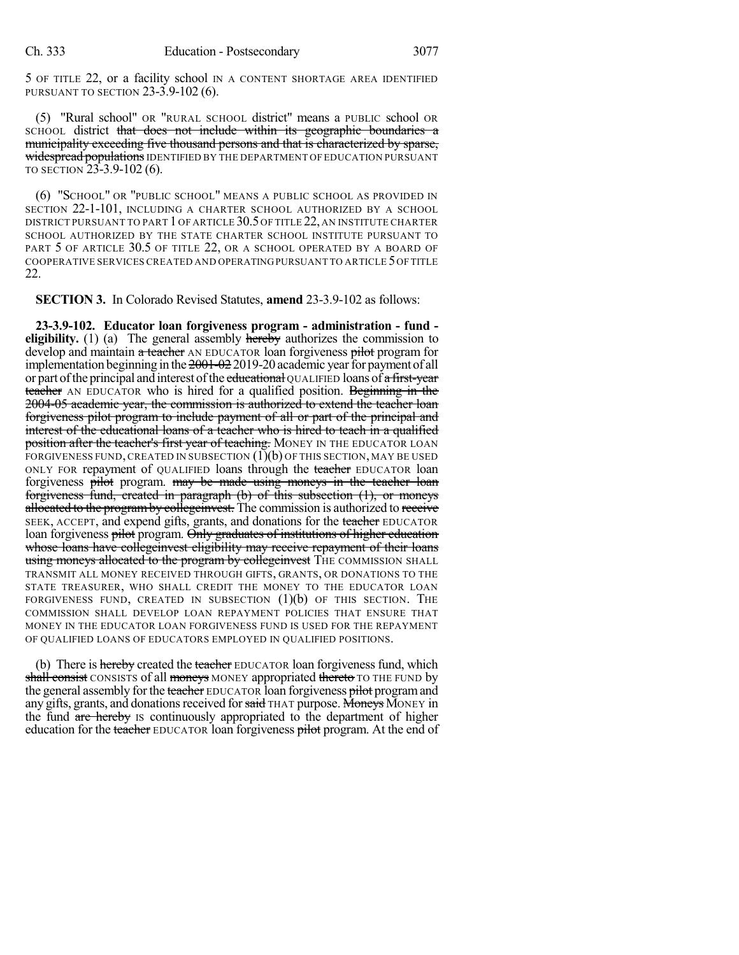5 OF TITLE 22, or a facility school IN A CONTENT SHORTAGE AREA IDENTIFIED PURSUANT TO SECTION 23-3.9-102 (6).

(5) "Rural school" OR "RURAL SCHOOL district" means a PUBLIC school OR SCHOOL district that does not include within its geographic boundaries a municipality exceeding five thousand persons and that is characterized by sparse, widespread populations IDENTIFIED BY THE DEPARTMENT OF EDUCATION PURSUANT TO SECTION 23-3.9-102 (6).

(6) "SCHOOL" OR "PUBLIC SCHOOL" MEANS A PUBLIC SCHOOL AS PROVIDED IN SECTION 22-1-101, INCLUDING A CHARTER SCHOOL AUTHORIZED BY A SCHOOL DISTRICT PURSUANT TO PART 1 OF ARTICLE 30.5OF TITLE 22, AN INSTITUTE CHARTER SCHOOL AUTHORIZED BY THE STATE CHARTER SCHOOL INSTITUTE PURSUANT TO PART 5 OF ARTICLE 30.5 OF TITLE 22, OR A SCHOOL OPERATED BY A BOARD OF COOPERATIVE SERVICES CREATED AND OPERATINGPURSUANT TO ARTICLE 5OF TITLE 22.

**SECTION 3.** In Colorado Revised Statutes, **amend** 23-3.9-102 as follows:

**23-3.9-102. Educator loan forgiveness program - administration - fund eligibility.** (1) (a) The general assembly hereby authorizes the commission to develop and maintain a teacher AN EDUCATOR loan forgiveness pilot program for implementation beginning in the  $2001-02$  2019-20 academic year for payment of all or part of the principal and interest of the educational QUALIFIED loans of a first-year teacher AN EDUCATOR who is hired for a qualified position. Beginning in the 2004-05 academic year, the commission is authorized to extend the teacher loan forgiveness pilot program to include payment of all or part of the principal and interest of the educational loans of a teacher who is hired to teach in a qualified position after the teacher's first year of teaching. MONEY IN THE EDUCATOR LOAN FORGIVENESS FUND, CREATED IN SUBSECTION  $(1)(b)$  OF THIS SECTION, MAY BE USED ONLY FOR repayment of QUALIFIED loans through the teacher EDUCATOR loan forgiveness pilot program. may be made using moneys in the teacher loan forgiveness fund, created in paragraph (b) of this subsection (1), or moneys allocated to the program by collegeinvest. The commission is authorized to receive SEEK, ACCEPT, and expend gifts, grants, and donations for the teacher EDUCATOR loan forgiveness pilot program. Only graduates of institutions of higher education whose loans have collegeinvest eligibility may receive repayment of their loans using moneys allocated to the program by collegeinvest THE COMMISSION SHALL TRANSMIT ALL MONEY RECEIVED THROUGH GIFTS, GRANTS, OR DONATIONS TO THE STATE TREASURER, WHO SHALL CREDIT THE MONEY TO THE EDUCATOR LOAN FORGIVENESS FUND, CREATED IN SUBSECTION (1)(b) OF THIS SECTION. THE COMMISSION SHALL DEVELOP LOAN REPAYMENT POLICIES THAT ENSURE THAT MONEY IN THE EDUCATOR LOAN FORGIVENESS FUND IS USED FOR THE REPAYMENT OF QUALIFIED LOANS OF EDUCATORS EMPLOYED IN QUALIFIED POSITIONS.

(b) There is hereby created the teacher EDUCATOR loan forgiveness fund, which shall consist CONSISTS of all moneys MONEY appropriated thereto TO THE FUND by the general assembly for the teacher EDUCATOR loan forgiveness pilot program and any gifts, grants, and donations received for said THAT purpose. Moneys MONEY in the fund are hereby is continuously appropriated to the department of higher education for the teacher EDUCATOR loan forgiveness pilot program. At the end of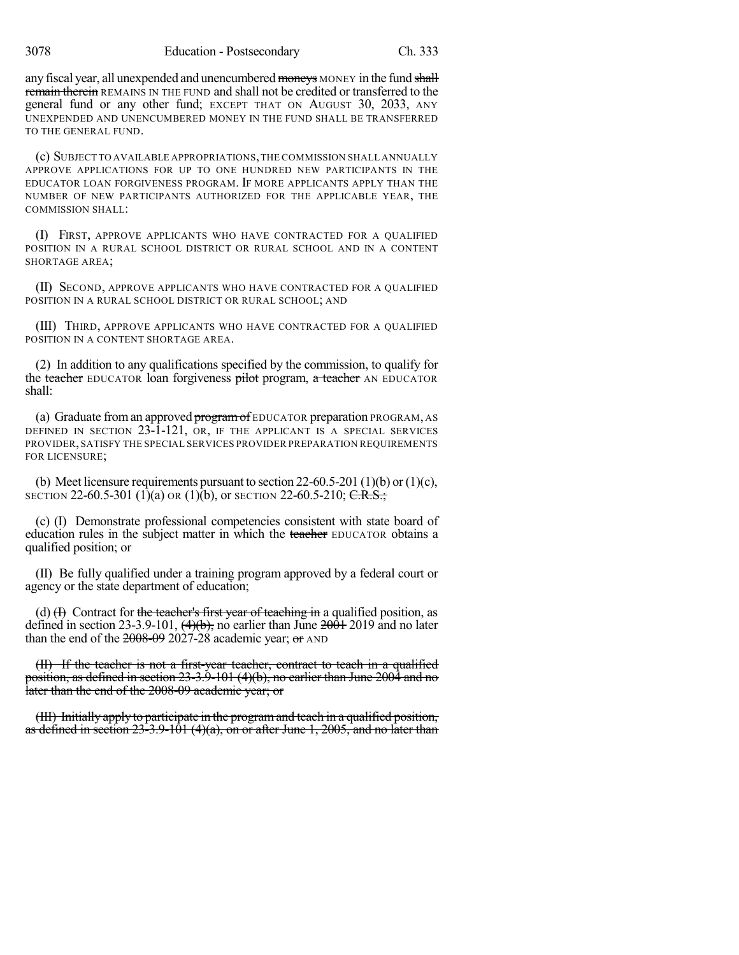3078 Education - Postsecondary Ch. 333

any fiscal year, all unexpended and unencumbered moneys MONEY in the fund shall remain therein REMAINS IN THE FUND and shall not be credited or transferred to the general fund or any other fund; EXCEPT THAT ON AUGUST 30, 2033, ANY UNEXPENDED AND UNENCUMBERED MONEY IN THE FUND SHALL BE TRANSFERRED TO THE GENERAL FUND.

(c) SUBJECT TO AVAILABLE APPROPRIATIONS,THE COMMISSION SHALL ANNUALLY APPROVE APPLICATIONS FOR UP TO ONE HUNDRED NEW PARTICIPANTS IN THE EDUCATOR LOAN FORGIVENESS PROGRAM. IF MORE APPLICANTS APPLY THAN THE NUMBER OF NEW PARTICIPANTS AUTHORIZED FOR THE APPLICABLE YEAR, THE COMMISSION SHALL:

(I) FIRST, APPROVE APPLICANTS WHO HAVE CONTRACTED FOR A QUALIFIED POSITION IN A RURAL SCHOOL DISTRICT OR RURAL SCHOOL AND IN A CONTENT SHORTAGE AREA;

(II) SECOND, APPROVE APPLICANTS WHO HAVE CONTRACTED FOR A QUALIFIED POSITION IN A RURAL SCHOOL DISTRICT OR RURAL SCHOOL; AND

(III) THIRD, APPROVE APPLICANTS WHO HAVE CONTRACTED FOR A QUALIFIED POSITION IN A CONTENT SHORTAGE AREA.

(2) In addition to any qualifications specified by the commission, to qualify for the teacher EDUCATOR loan forgiveness pilot program, a teacher AN EDUCATOR shall:

(a) Graduate from an approved program of EDUCATOR preparation PROGRAM, AS DEFINED IN SECTION 23-1-121, OR, IF THE APPLICANT IS A SPECIAL SERVICES PROVIDER, SATISFY THE SPECIAL SERVICES PROVIDER PREPARATION REQUIREMENTS FOR LICENSURE;

(b) Meet licensure requirements pursuant to section 22-60.5-201 (1)(b) or (1)(c), SECTION 22-60.5-301 (1)(a) OR (1)(b), or SECTION 22-60.5-210; C.R.S.;

(c) (I) Demonstrate professional competencies consistent with state board of education rules in the subject matter in which the teacher EDUCATOR obtains a qualified position; or

(II) Be fully qualified under a training program approved by a federal court or agency or the state department of education;

(d)  $(H)$  Contract for the teacher's first year of teaching in a qualified position, as defined in section 23-3.9-101,  $\left(4\right)(b)$ , no earlier than June  $2001$  2019 and no later than the end of the  $2008-09$  2027-28 academic year; or AND

(II) If the teacher is not a first-year teacher, contract to teach in a qualified position, as defined in section 23-3.9-101 (4)(b), no earlier than June 2004 and no later than the end of the 2008-09 academic year; or

(III) Initially apply to participate in the programand teach in a qualified position, as defined in section  $23-3.9-101$  (4)(a), on or after June 1, 2005, and no later than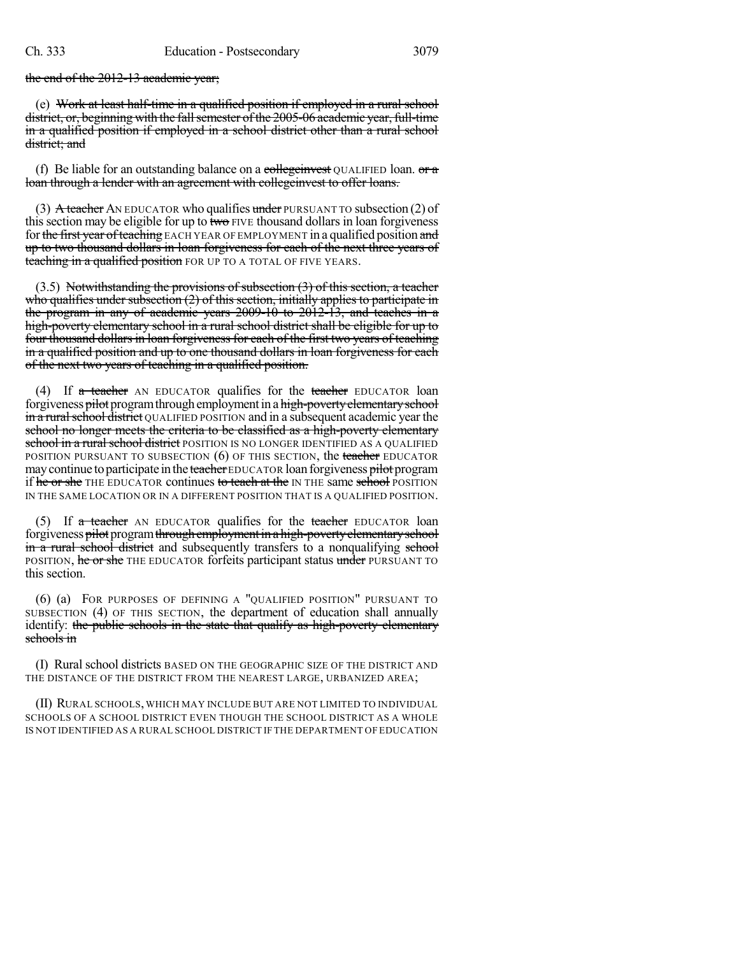the end of the 2012-13 academic year;

(e) Work at least half-time in a qualified position if employed in a rural school district, or, beginning with the fall semester of the 2005-06 academic year, full-time in a qualified position if employed in a school district other than a rural school district: and

(f) Be liable for an outstanding balance on a collegenvest QUALIFIED loan.  $\sigma \tau$ loan through a lender with an agreement with collegeinvest to offer loans.

(3) A teacher AN EDUCATOR who qualifies under PURSUANT TO subsection (2) of this section may be eligible for up to two  $FIVE$  thousand dollars in loan forgiveness for the first year of teaching EACH YEAR OF EMPLOYMENT in a qualified position and up to two thousand dollars in loan forgiveness for each of the next three years of teaching in a qualified position FOR UP TO A TOTAL OF FIVE YEARS.

 $(3.5)$  Notwithstanding the provisions of subsection  $(3)$  of this section, a teacher who qualifies under subsection  $(2)$  of this section, initially applies to participate in the program in any of academic years 2009-10 to 2012-13, and teaches in a high-poverty elementary school in a rural school district shall be eligible for up to four thousand dollars in loan forgiveness for each of the first two years of teaching in a qualified position and up to one thousand dollars in loan forgiveness for each of the next two years of teaching in a qualified position.

(4) If  $\alpha$  teacher AN EDUCATOR qualifies for the teacher EDUCATOR loan forgiveness pilot program through employment in a high-poverty elementary school in a rural school district QUALIFIED POSITION and in a subsequent academic year the school no longer meets the criteria to be classified as a high-poverty elementary school in a rural school district POSITION IS NO LONGER IDENTIFIED AS A QUALIFIED POSITION PURSUANT TO SUBSECTION  $(6)$  OF THIS SECTION, the teacher EDUCATOR may continue to participate in the teacher EDUCATOR loan forgiveness pilot program if he or she THE EDUCATOR continues to teach at the IN THE same school POSITION IN THE SAME LOCATION OR IN A DIFFERENT POSITION THAT IS A QUALIFIED POSITION.

(5) If a teacher AN EDUCATOR qualifies for the teacher EDUCATOR loan forgiveness pilot program through employment in a high-poverty elementary school in a rural school district and subsequently transfers to a nonqualifying school POSITION, he or she THE EDUCATOR forfeits participant status under PURSUANT TO this section.

(6) (a) FOR PURPOSES OF DEFINING A "QUALIFIED POSITION" PURSUANT TO SUBSECTION (4) OF THIS SECTION, the department of education shall annually identify: the public schools in the state that qualify as high-poverty elementary schools in

(I) Rural school districts BASED ON THE GEOGRAPHIC SIZE OF THE DISTRICT AND THE DISTANCE OF THE DISTRICT FROM THE NEAREST LARGE, URBANIZED AREA;

(II) RURAL SCHOOLS, WHICH MAY INCLUDE BUT ARE NOT LIMITED TO INDIVIDUAL SCHOOLS OF A SCHOOL DISTRICT EVEN THOUGH THE SCHOOL DISTRICT AS A WHOLE IS NOT IDENTIFIED AS A RURAL SCHOOL DISTRICT IF THE DEPARTMENT OF EDUCATION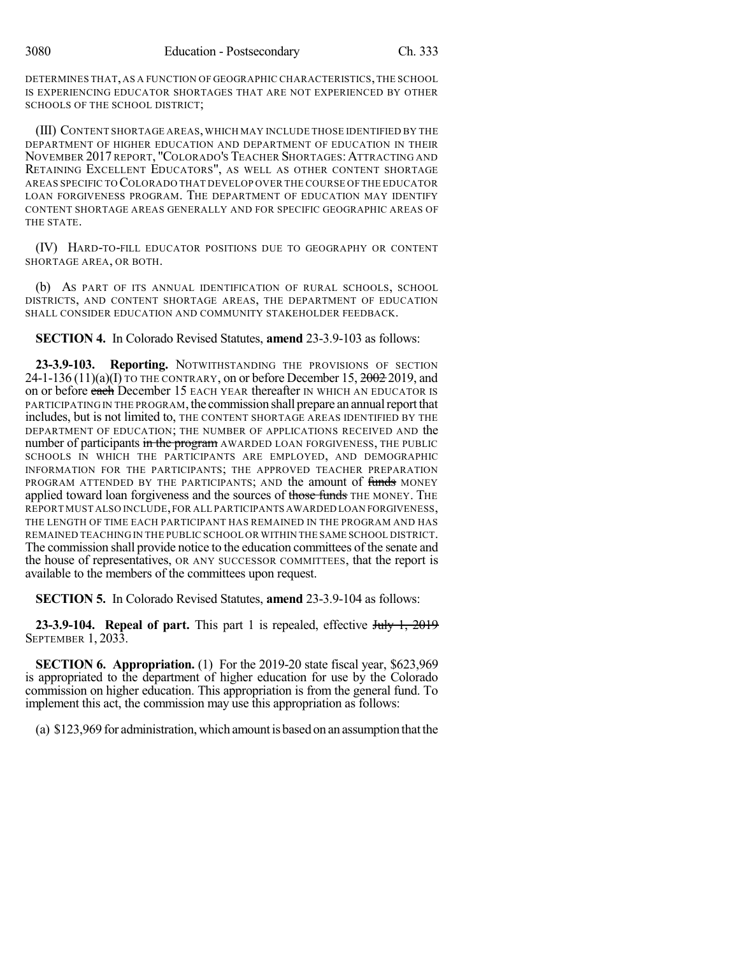DETERMINES THAT, AS A FUNCTION OF GEOGRAPHIC CHARACTERISTICS,THE SCHOOL IS EXPERIENCING EDUCATOR SHORTAGES THAT ARE NOT EXPERIENCED BY OTHER SCHOOLS OF THE SCHOOL DISTRICT;

(III) CONTENT SHORTAGE AREAS,WHICH MAY INCLUDE THOSE IDENTIFIED BY THE DEPARTMENT OF HIGHER EDUCATION AND DEPARTMENT OF EDUCATION IN THEIR NOVEMBER 2017 REPORT, "COLORADO'S TEACHER SHORTAGES:ATTRACTING AND RETAINING EXCELLENT EDUCATORS", AS WELL AS OTHER CONTENT SHORTAGE AREAS SPECIFIC TO COLORADO THAT DEVELOP OVER THE COURSE OF THE EDUCATOR LOAN FORGIVENESS PROGRAM. THE DEPARTMENT OF EDUCATION MAY IDENTIFY CONTENT SHORTAGE AREAS GENERALLY AND FOR SPECIFIC GEOGRAPHIC AREAS OF THE STATE.

(IV) HARD-TO-FILL EDUCATOR POSITIONS DUE TO GEOGRAPHY OR CONTENT SHORTAGE AREA, OR BOTH.

(b) AS PART OF ITS ANNUAL IDENTIFICATION OF RURAL SCHOOLS, SCHOOL DISTRICTS, AND CONTENT SHORTAGE AREAS, THE DEPARTMENT OF EDUCATION SHALL CONSIDER EDUCATION AND COMMUNITY STAKEHOLDER FEEDBACK.

**SECTION 4.** In Colorado Revised Statutes, **amend** 23-3.9-103 as follows:

**23-3.9-103. Reporting.** NOTWITHSTANDING THE PROVISIONS OF SECTION 24-1-136  $(11)(a)(I)$  TO THE CONTRARY, on or before December 15,  $2002$  2019, and on or before each December 15 EACH YEAR thereafter IN WHICH AN EDUCATOR IS PARTICIPATING IN THE PROGRAM, the commission shall prepare an annual report that includes, but is not limited to, THE CONTENT SHORTAGE AREAS IDENTIFIED BY THE DEPARTMENT OF EDUCATION; THE NUMBER OF APPLICATIONS RECEIVED AND the number of participants in the program AWARDED LOAN FORGIVENESS, THE PUBLIC SCHOOLS IN WHICH THE PARTICIPANTS ARE EMPLOYED, AND DEMOGRAPHIC INFORMATION FOR THE PARTICIPANTS; THE APPROVED TEACHER PREPARATION PROGRAM ATTENDED BY THE PARTICIPANTS; AND the amount of funds MONEY applied toward loan forgiveness and the sources of those funds THE MONEY. THE REPORT MUST ALSO INCLUDE,FOR ALL PARTICIPANTS AWARDED LOAN FORGIVENESS, THE LENGTH OF TIME EACH PARTICIPANT HAS REMAINED IN THE PROGRAM AND HAS REMAINED TEACHING IN THE PUBLIC SCHOOL OR WITHIN THE SAME SCHOOL DISTRICT. The commission shall provide notice to the education committees of the senate and the house of representatives, OR ANY SUCCESSOR COMMITTEES, that the report is available to the members of the committees upon request.

**SECTION 5.** In Colorado Revised Statutes, **amend** 23-3.9-104 as follows:

**23-3.9-104. Repeal of part.** This part 1 is repealed, effective July 1, 2019 SEPTEMBER 1, 2033.

**SECTION 6. Appropriation.** (1) For the 2019-20 state fiscal year, \$623,969 is appropriated to the department of higher education for use by the Colorado commission on higher education. This appropriation is from the general fund. To implement this act, the commission may use this appropriation as follows:

(a) \$123,969 for administration, which amountis based on an assumption thatthe